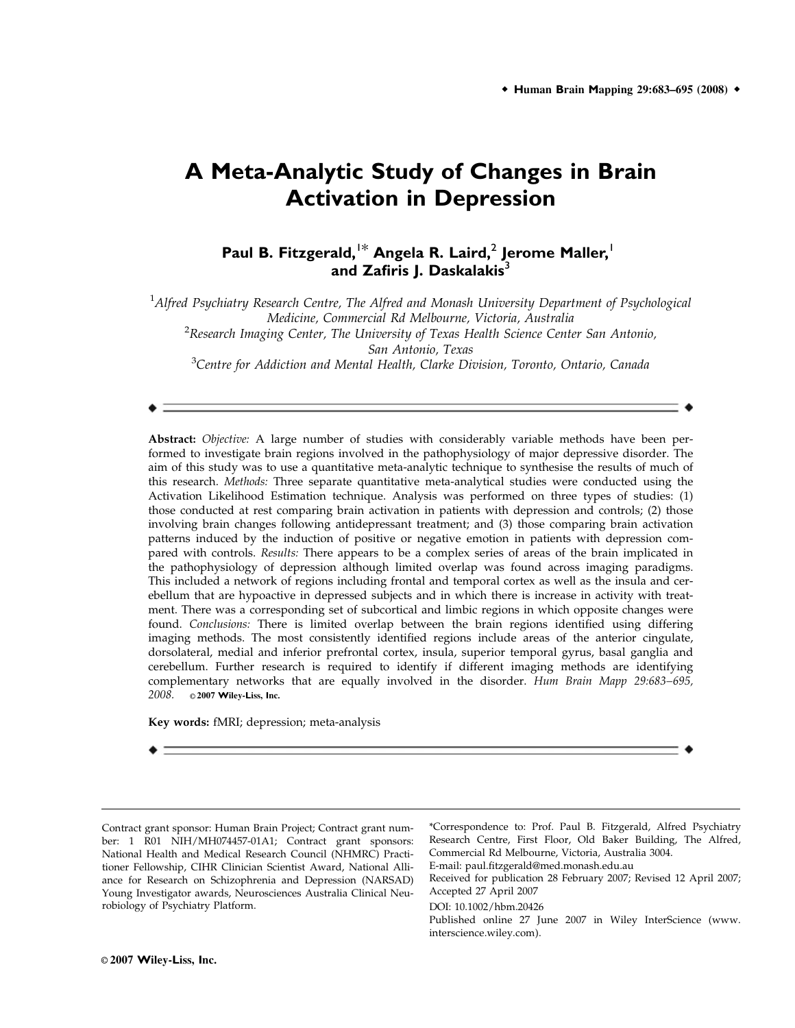# **A Meta-Analytic Study of Changes in Brain Activation in Depression**

**Paul B. Fitzgerald,**1\* **Angela R. Laird,**<sup>2</sup> **Jerome Maller,**<sup>1</sup> and Zafiris J. Daskalakis<sup>3</sup>

<sup>1</sup>Alfred Psychiatry Research Centre, The Alfred and Monash University Department of Psychological Medicine, Commercial Rd Melbourne, Victoria, Australia  ${}^{2}$ Research Imaging Center, The University of Texas Health Science Center San Antonio,

San Antonio, Texas

<sup>3</sup>Centre for Addiction and Mental Health, Clarke Division, Toronto, Ontario, Canada

Abstract: Objective: A large number of studies with considerably variable methods have been performed to investigate brain regions involved in the pathophysiology of major depressive disorder. The aim of this study was to use a quantitative meta-analytic technique to synthesise the results of much of this research. *Methods:* Three separate quantitative meta-analytical studies were conducted using the Activation Likelihood Estimation technique. Analysis was performed on three types of studies: (1) those conducted at rest comparing brain activation in patients with depression and controls; (2) those involving brain changes following antidepressant treatment; and (3) those comparing brain activation patterns induced by the induction of positive or negative emotion in patients with depression compared with controls. Results: There appears to be a complex series of areas of the brain implicated in the pathophysiology of depression although limited overlap was found across imaging paradigms. This included a network of regions including frontal and temporal cortex as well as the insula and cerebellum that are hypoactive in depressed subjects and in which there is increase in activity with treatment. There was a corresponding set of subcortical and limbic regions in which opposite changes were found. Conclusions: There is limited overlap between the brain regions identified using differing imaging methods. The most consistently identified regions include areas of the anterior cingulate, dorsolateral, medial and inferior prefrontal cortex, insula, superior temporal gyrus, basal ganglia and cerebellum. Further research is required to identify if different imaging methods are identifying complementary networks that are equally involved in the disorder. Hum Brain Mapp 29:683–695, 2008. **c** 2007 Wiley-Liss, Inc.

Key words: fMRI; depression; meta-analysis



\*Correspondence to: Prof. Paul B. Fitzgerald, Alfred Psychiatry Research Centre, First Floor, Old Baker Building, The Alfred, Commercial Rd Melbourne, Victoria, Australia 3004. E-mail: paul.fitzgerald@med.monash.edu.au

Received for publication 28 February 2007; Revised 12 April 2007; Accepted 27 April 2007

DOI: 10.1002/hbm.20426

Published online 27 June 2007 in Wiley InterScience (www. interscience.wiley.com).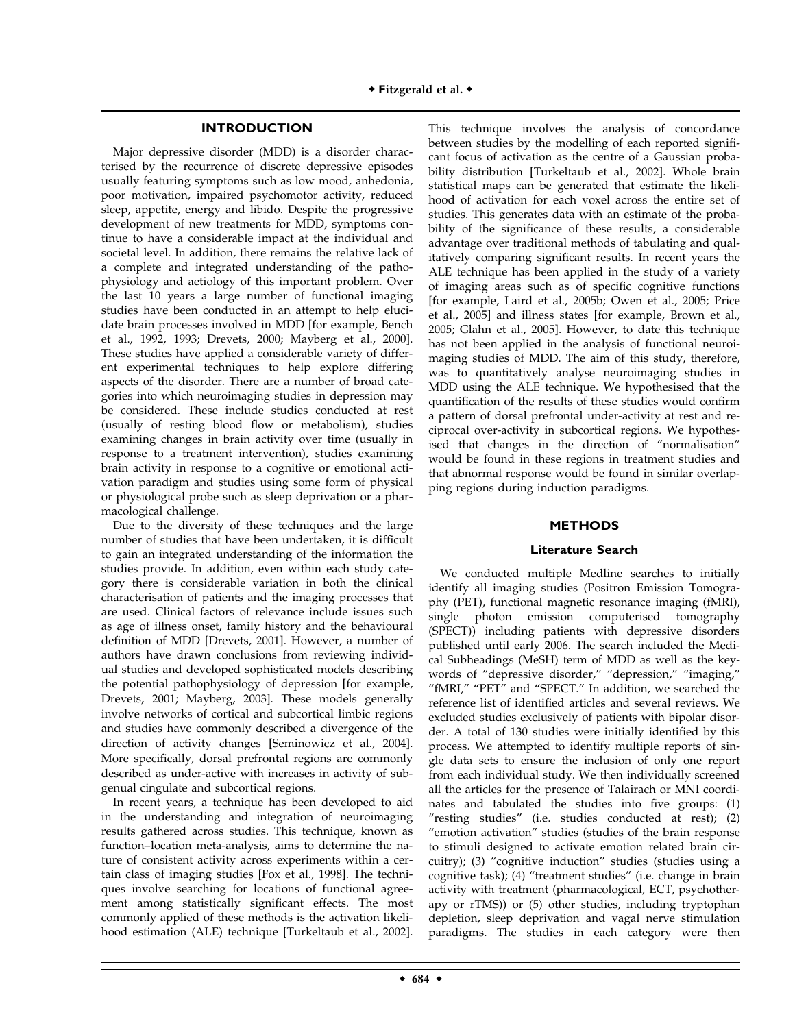# **INTRODUCTION**

Major depressive disorder (MDD) is a disorder characterised by the recurrence of discrete depressive episodes usually featuring symptoms such as low mood, anhedonia, poor motivation, impaired psychomotor activity, reduced sleep, appetite, energy and libido. Despite the progressive development of new treatments for MDD, symptoms continue to have a considerable impact at the individual and societal level. In addition, there remains the relative lack of a complete and integrated understanding of the pathophysiology and aetiology of this important problem. Over the last 10 years a large number of functional imaging studies have been conducted in an attempt to help elucidate brain processes involved in MDD [for example, Bench et al., 1992, 1993; Drevets, 2000; Mayberg et al., 2000]. These studies have applied a considerable variety of different experimental techniques to help explore differing aspects of the disorder. There are a number of broad categories into which neuroimaging studies in depression may be considered. These include studies conducted at rest (usually of resting blood flow or metabolism), studies examining changes in brain activity over time (usually in response to a treatment intervention), studies examining brain activity in response to a cognitive or emotional activation paradigm and studies using some form of physical or physiological probe such as sleep deprivation or a pharmacological challenge.

Due to the diversity of these techniques and the large number of studies that have been undertaken, it is difficult to gain an integrated understanding of the information the studies provide. In addition, even within each study category there is considerable variation in both the clinical characterisation of patients and the imaging processes that are used. Clinical factors of relevance include issues such as age of illness onset, family history and the behavioural definition of MDD [Drevets, 2001]. However, a number of authors have drawn conclusions from reviewing individual studies and developed sophisticated models describing the potential pathophysiology of depression [for example, Drevets, 2001; Mayberg, 2003]. These models generally involve networks of cortical and subcortical limbic regions and studies have commonly described a divergence of the direction of activity changes [Seminowicz et al., 2004]. More specifically, dorsal prefrontal regions are commonly described as under-active with increases in activity of subgenual cingulate and subcortical regions.

In recent years, a technique has been developed to aid in the understanding and integration of neuroimaging results gathered across studies. This technique, known as function–location meta-analysis, aims to determine the nature of consistent activity across experiments within a certain class of imaging studies [Fox et al., 1998]. The techniques involve searching for locations of functional agreement among statistically significant effects. The most commonly applied of these methods is the activation likelihood estimation (ALE) technique [Turkeltaub et al., 2002].

This technique involves the analysis of concordance between studies by the modelling of each reported significant focus of activation as the centre of a Gaussian probability distribution [Turkeltaub et al., 2002]. Whole brain statistical maps can be generated that estimate the likelihood of activation for each voxel across the entire set of studies. This generates data with an estimate of the probability of the significance of these results, a considerable advantage over traditional methods of tabulating and qualitatively comparing significant results. In recent years the ALE technique has been applied in the study of a variety of imaging areas such as of specific cognitive functions [for example, Laird et al., 2005b; Owen et al., 2005; Price et al., 2005] and illness states [for example, Brown et al., 2005; Glahn et al., 2005]. However, to date this technique has not been applied in the analysis of functional neuroimaging studies of MDD. The aim of this study, therefore, was to quantitatively analyse neuroimaging studies in MDD using the ALE technique. We hypothesised that the quantification of the results of these studies would confirm a pattern of dorsal prefrontal under-activity at rest and reciprocal over-activity in subcortical regions. We hypothesised that changes in the direction of ''normalisation'' would be found in these regions in treatment studies and that abnormal response would be found in similar overlapping regions during induction paradigms.

# **METHODS**

# **Literature Search**

We conducted multiple Medline searches to initially identify all imaging studies (Positron Emission Tomography (PET), functional magnetic resonance imaging (fMRI), single photon emission computerised tomography (SPECT)) including patients with depressive disorders published until early 2006. The search included the Medical Subheadings (MeSH) term of MDD as well as the keywords of ''depressive disorder,'' ''depression,'' ''imaging,'' "fMRI," "PET" and "SPECT." In addition, we searched the reference list of identified articles and several reviews. We excluded studies exclusively of patients with bipolar disorder. A total of 130 studies were initially identified by this process. We attempted to identify multiple reports of single data sets to ensure the inclusion of only one report from each individual study. We then individually screened all the articles for the presence of Talairach or MNI coordinates and tabulated the studies into five groups: (1) ''resting studies'' (i.e. studies conducted at rest); (2) ''emotion activation'' studies (studies of the brain response to stimuli designed to activate emotion related brain circuitry); (3) ''cognitive induction'' studies (studies using a cognitive task); (4) ''treatment studies'' (i.e. change in brain activity with treatment (pharmacological, ECT, psychotherapy or rTMS)) or (5) other studies, including tryptophan depletion, sleep deprivation and vagal nerve stimulation paradigms. The studies in each category were then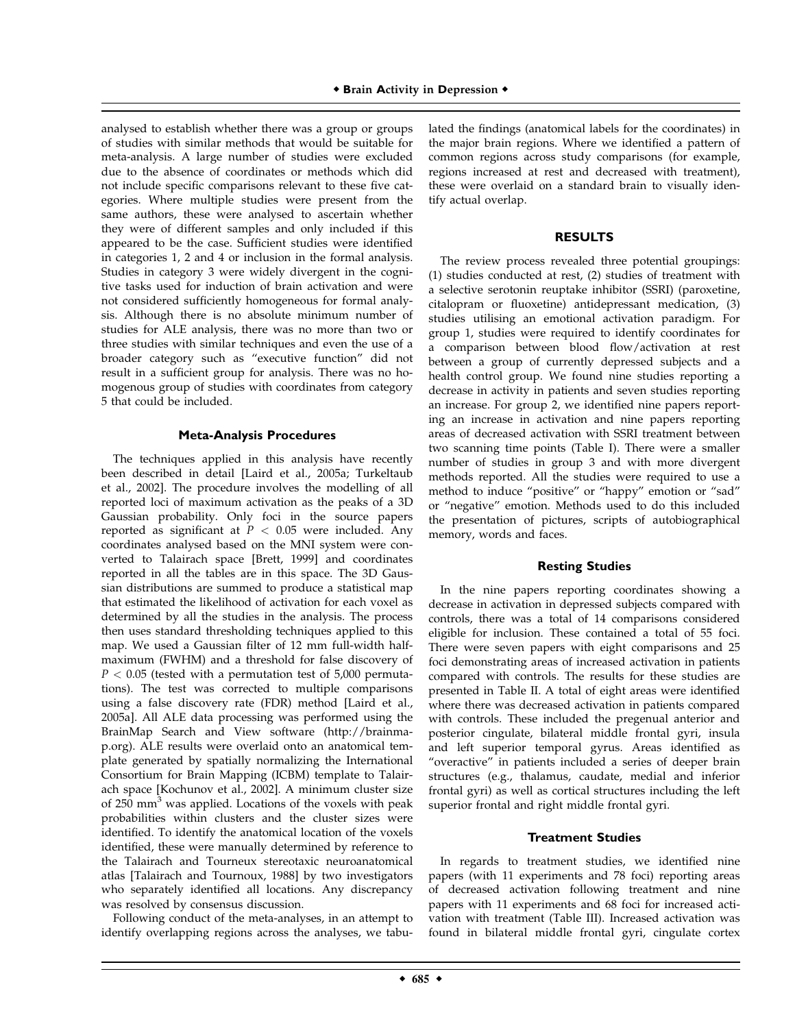analysed to establish whether there was a group or groups of studies with similar methods that would be suitable for meta-analysis. A large number of studies were excluded due to the absence of coordinates or methods which did not include specific comparisons relevant to these five categories. Where multiple studies were present from the same authors, these were analysed to ascertain whether they were of different samples and only included if this appeared to be the case. Sufficient studies were identified in categories 1, 2 and 4 or inclusion in the formal analysis. Studies in category 3 were widely divergent in the cognitive tasks used for induction of brain activation and were not considered sufficiently homogeneous for formal analysis. Although there is no absolute minimum number of studies for ALE analysis, there was no more than two or three studies with similar techniques and even the use of a broader category such as ''executive function'' did not result in a sufficient group for analysis. There was no homogenous group of studies with coordinates from category 5 that could be included.

#### **Meta-Analysis Procedures**

The techniques applied in this analysis have recently been described in detail [Laird et al., 2005a; Turkeltaub et al., 2002]. The procedure involves the modelling of all reported loci of maximum activation as the peaks of a 3D Gaussian probability. Only foci in the source papers reported as significant at  $P < 0.05$  were included. Any coordinates analysed based on the MNI system were converted to Talairach space [Brett, 1999] and coordinates reported in all the tables are in this space. The 3D Gaussian distributions are summed to produce a statistical map that estimated the likelihood of activation for each voxel as determined by all the studies in the analysis. The process then uses standard thresholding techniques applied to this map. We used a Gaussian filter of 12 mm full-width halfmaximum (FWHM) and a threshold for false discovery of  $P < 0.05$  (tested with a permutation test of 5,000 permutations). The test was corrected to multiple comparisons using a false discovery rate (FDR) method [Laird et al., 2005a]. All ALE data processing was performed using the BrainMap Search and View software (http://brainmap.org). ALE results were overlaid onto an anatomical template generated by spatially normalizing the International Consortium for Brain Mapping (ICBM) template to Talairach space [Kochunov et al., 2002]. A minimum cluster size of 250 mm<sup>3</sup> was applied. Locations of the voxels with peak probabilities within clusters and the cluster sizes were identified. To identify the anatomical location of the voxels identified, these were manually determined by reference to the Talairach and Tourneux stereotaxic neuroanatomical atlas [Talairach and Tournoux, 1988] by two investigators who separately identified all locations. Any discrepancy was resolved by consensus discussion.

Following conduct of the meta-analyses, in an attempt to identify overlapping regions across the analyses, we tabulated the findings (anatomical labels for the coordinates) in the major brain regions. Where we identified a pattern of common regions across study comparisons (for example, regions increased at rest and decreased with treatment), these were overlaid on a standard brain to visually identify actual overlap.

#### **RESULTS**

The review process revealed three potential groupings: (1) studies conducted at rest, (2) studies of treatment with a selective serotonin reuptake inhibitor (SSRI) (paroxetine, citalopram or fluoxetine) antidepressant medication, (3) studies utilising an emotional activation paradigm. For group 1, studies were required to identify coordinates for a comparison between blood flow/activation at rest between a group of currently depressed subjects and a health control group. We found nine studies reporting a decrease in activity in patients and seven studies reporting an increase. For group 2, we identified nine papers reporting an increase in activation and nine papers reporting areas of decreased activation with SSRI treatment between two scanning time points (Table I). There were a smaller number of studies in group 3 and with more divergent methods reported. All the studies were required to use a method to induce ''positive'' or ''happy'' emotion or ''sad'' or ''negative'' emotion. Methods used to do this included the presentation of pictures, scripts of autobiographical memory, words and faces.

#### **Resting Studies**

In the nine papers reporting coordinates showing a decrease in activation in depressed subjects compared with controls, there was a total of 14 comparisons considered eligible for inclusion. These contained a total of 55 foci. There were seven papers with eight comparisons and 25 foci demonstrating areas of increased activation in patients compared with controls. The results for these studies are presented in Table II. A total of eight areas were identified where there was decreased activation in patients compared with controls. These included the pregenual anterior and posterior cingulate, bilateral middle frontal gyri, insula and left superior temporal gyrus. Areas identified as "overactive" in patients included a series of deeper brain structures (e.g., thalamus, caudate, medial and inferior frontal gyri) as well as cortical structures including the left superior frontal and right middle frontal gyri.

#### **Treatment Studies**

In regards to treatment studies, we identified nine papers (with 11 experiments and 78 foci) reporting areas of decreased activation following treatment and nine papers with 11 experiments and 68 foci for increased activation with treatment (Table III). Increased activation was found in bilateral middle frontal gyri, cingulate cortex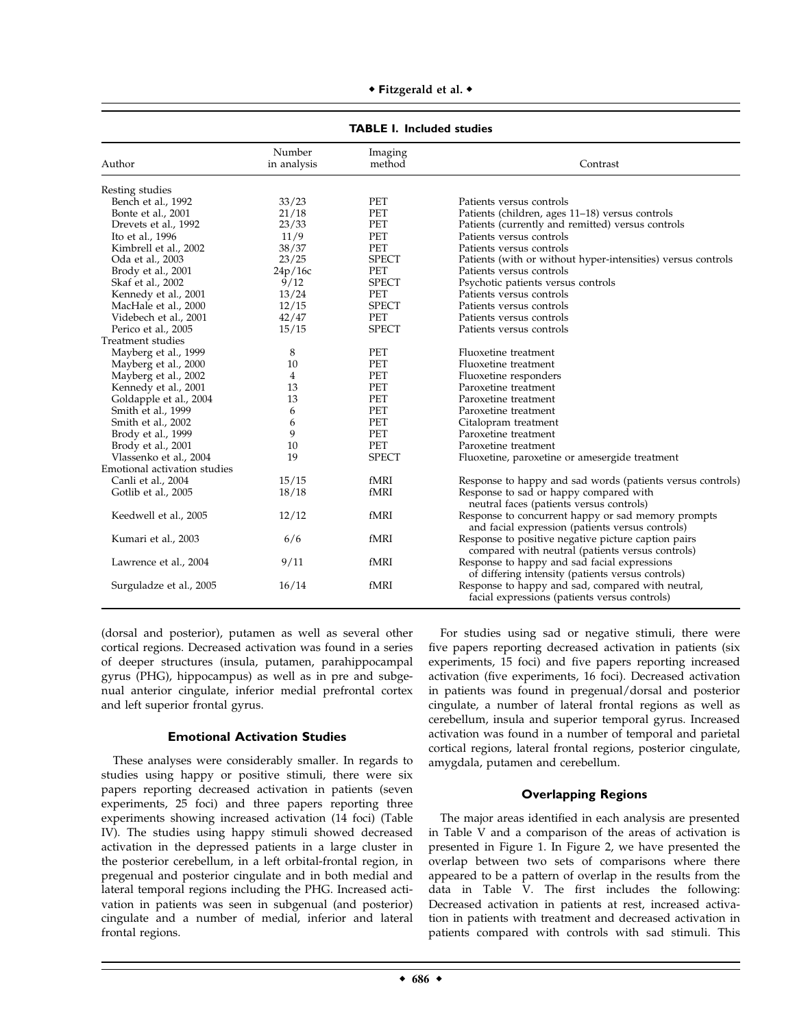|                              | рсс н шскиси зличнез  |                   |                                                                                                         |  |  |  |  |  |  |
|------------------------------|-----------------------|-------------------|---------------------------------------------------------------------------------------------------------|--|--|--|--|--|--|
| Author                       | Number<br>in analysis | Imaging<br>method | Contrast                                                                                                |  |  |  |  |  |  |
| Resting studies              |                       |                   |                                                                                                         |  |  |  |  |  |  |
| Bench et al., 1992           | 33/23                 | PET               | Patients versus controls                                                                                |  |  |  |  |  |  |
| Bonte et al., 2001           | 21/18                 | PET               | Patients (children, ages 11-18) versus controls                                                         |  |  |  |  |  |  |
| Drevets et al., 1992         | 23/33                 | PET               | Patients (currently and remitted) versus controls                                                       |  |  |  |  |  |  |
| Ito et al., 1996             | 11/9                  | PET               | Patients versus controls                                                                                |  |  |  |  |  |  |
| Kimbrell et al., 2002        | 38/37                 | PET               | Patients versus controls                                                                                |  |  |  |  |  |  |
| Oda et al., 2003             | 23/25                 | <b>SPECT</b>      | Patients (with or without hyper-intensities) versus controls                                            |  |  |  |  |  |  |
| Brody et al., 2001           | 24p/16c               | PET               | Patients versus controls                                                                                |  |  |  |  |  |  |
| Skaf et al., 2002            | 9/12                  | <b>SPECT</b>      | Psychotic patients versus controls                                                                      |  |  |  |  |  |  |
| Kennedy et al., 2001         | 13/24                 | PET               | Patients versus controls                                                                                |  |  |  |  |  |  |
| MacHale et al., 2000         | 12/15                 | <b>SPECT</b>      | Patients versus controls                                                                                |  |  |  |  |  |  |
| Videbech et al., 2001        | 42/47                 | PET               | Patients versus controls                                                                                |  |  |  |  |  |  |
| Perico et al., 2005          | 15/15                 | <b>SPECT</b>      | Patients versus controls                                                                                |  |  |  |  |  |  |
| Treatment studies            |                       |                   |                                                                                                         |  |  |  |  |  |  |
| Mayberg et al., 1999         | 8                     | PET               | Fluoxetine treatment                                                                                    |  |  |  |  |  |  |
| Mayberg et al., 2000         | 10                    | PET               | Fluoxetine treatment                                                                                    |  |  |  |  |  |  |
| Mayberg et al., 2002         | 4                     | PET               | Fluoxetine responders                                                                                   |  |  |  |  |  |  |
| Kennedy et al., 2001         | 13                    | PET               | Paroxetine treatment                                                                                    |  |  |  |  |  |  |
| Goldapple et al., 2004       | 13                    | PET               | Paroxetine treatment                                                                                    |  |  |  |  |  |  |
| Smith et al., 1999           | 6                     | PET               | Paroxetine treatment                                                                                    |  |  |  |  |  |  |
| Smith et al., 2002           | 6                     | PET               | Citalopram treatment                                                                                    |  |  |  |  |  |  |
| Brody et al., 1999           | 9                     | PET               | Paroxetine treatment                                                                                    |  |  |  |  |  |  |
| Brody et al., 2001           | 10                    | PET               | Paroxetine treatment                                                                                    |  |  |  |  |  |  |
| Vlassenko et al., 2004       | 19                    | <b>SPECT</b>      | Fluoxetine, paroxetine or amesergide treatment                                                          |  |  |  |  |  |  |
| Emotional activation studies |                       |                   |                                                                                                         |  |  |  |  |  |  |
| Canli et al., 2004           | 15/15                 | fMRI              | Response to happy and sad words (patients versus controls)                                              |  |  |  |  |  |  |
| Gotlib et al., 2005          | 18/18                 | fMRI              | Response to sad or happy compared with<br>neutral faces (patients versus controls)                      |  |  |  |  |  |  |
| Keedwell et al., 2005        | 12/12                 | fMRI              | Response to concurrent happy or sad memory prompts<br>and facial expression (patients versus controls)  |  |  |  |  |  |  |
| Kumari et al., 2003          | 6/6                   | fMRI              | Response to positive negative picture caption pairs<br>compared with neutral (patients versus controls) |  |  |  |  |  |  |
| Lawrence et al., 2004        | 9/11                  | fMRI              | Response to happy and sad facial expressions<br>of differing intensity (patients versus controls)       |  |  |  |  |  |  |
| Surguladze et al., 2005      | 16/14                 | fMRI              | Response to happy and sad, compared with neutral,<br>facial expressions (patients versus controls)      |  |  |  |  |  |  |

◆ Fitzgerald et al. ◆

**TABLE I. Included studies**

(dorsal and posterior), putamen as well as several other cortical regions. Decreased activation was found in a series of deeper structures (insula, putamen, parahippocampal gyrus (PHG), hippocampus) as well as in pre and subgenual anterior cingulate, inferior medial prefrontal cortex and left superior frontal gyrus.

# **Emotional Activation Studies**

These analyses were considerably smaller. In regards to studies using happy or positive stimuli, there were six papers reporting decreased activation in patients (seven experiments, 25 foci) and three papers reporting three experiments showing increased activation (14 foci) (Table IV). The studies using happy stimuli showed decreased activation in the depressed patients in a large cluster in the posterior cerebellum, in a left orbital-frontal region, in pregenual and posterior cingulate and in both medial and lateral temporal regions including the PHG. Increased activation in patients was seen in subgenual (and posterior) cingulate and a number of medial, inferior and lateral frontal regions.

For studies using sad or negative stimuli, there were five papers reporting decreased activation in patients (six experiments, 15 foci) and five papers reporting increased activation (five experiments, 16 foci). Decreased activation in patients was found in pregenual/dorsal and posterior cingulate, a number of lateral frontal regions as well as cerebellum, insula and superior temporal gyrus. Increased activation was found in a number of temporal and parietal cortical regions, lateral frontal regions, posterior cingulate, amygdala, putamen and cerebellum.

# **Overlapping Regions**

The major areas identified in each analysis are presented in Table V and a comparison of the areas of activation is presented in Figure 1. In Figure 2, we have presented the overlap between two sets of comparisons where there appeared to be a pattern of overlap in the results from the data in Table V. The first includes the following: Decreased activation in patients at rest, increased activation in patients with treatment and decreased activation in patients compared with controls with sad stimuli. This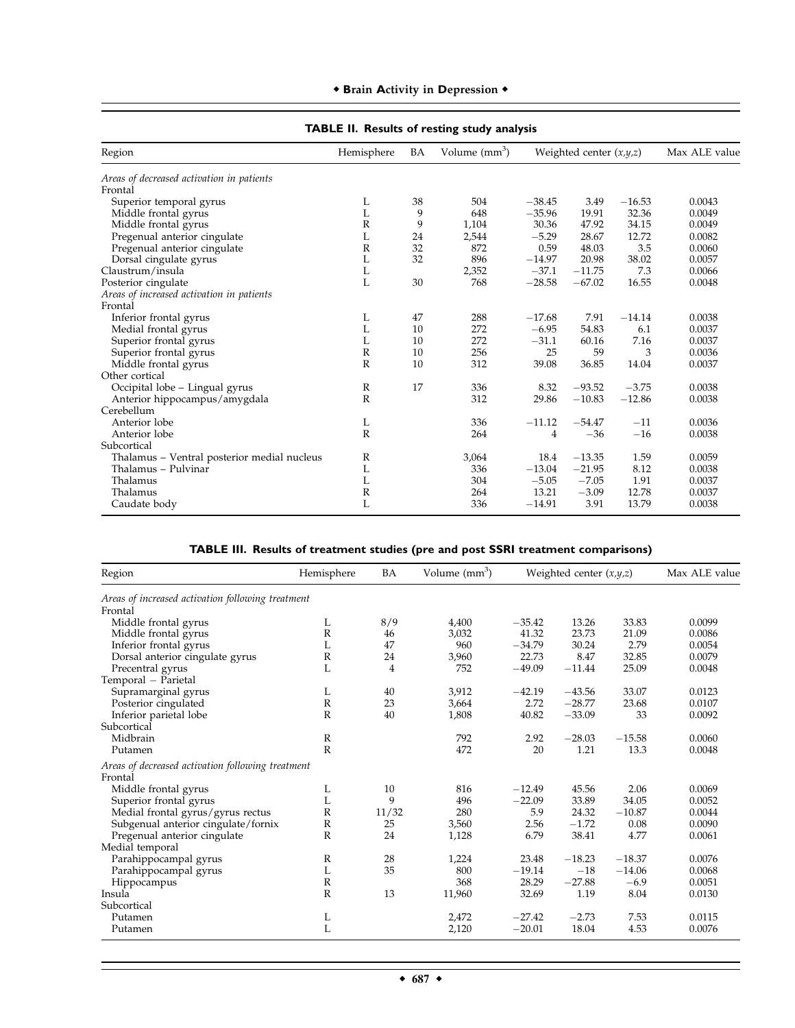| Region                                      | Hemisphere   | BA | Volume $(mm^3)$ | Weighted center $(x,y,z)$ |          |          | Max ALE value |
|---------------------------------------------|--------------|----|-----------------|---------------------------|----------|----------|---------------|
| Areas of decreased activation in patients   |              |    |                 |                           |          |          |               |
| Frontal                                     |              |    |                 |                           |          |          |               |
| Superior temporal gyrus                     | L            | 38 | 504             | $-38.45$                  | 3.49     | $-16.53$ | 0.0043        |
| Middle frontal gyrus                        | L            | 9  | 648             | $-35.96$                  | 19.91    | 32.36    | 0.0049        |
| Middle frontal gyrus                        | $\mathbb{R}$ | 9  | 1,104           | 30.36                     | 47.92    | 34.15    | 0.0049        |
| Pregenual anterior cingulate                | L            | 24 | 2,544           | $-5.29$                   | 28.67    | 12.72    | 0.0082        |
| Pregenual anterior cingulate                | R            | 32 | 872             | 0.59                      | 48.03    | 3.5      | 0.0060        |
| Dorsal cingulate gyrus                      | L            | 32 | 896             | $-14.97$                  | 20.98    | 38.02    | 0.0057        |
| Claustrum/insula                            | L            |    | 2,352           | $-37.1$                   | $-11.75$ | 7.3      | 0.0066        |
| Posterior cingulate                         | L            | 30 | 768             | $-28.58$                  | $-67.02$ | 16.55    | 0.0048        |
| Areas of increased activation in patients   |              |    |                 |                           |          |          |               |
| Frontal                                     |              |    |                 |                           |          |          |               |
| Inferior frontal gyrus                      | L            | 47 | 288             | $-17.68$                  | 7.91     | $-14.14$ | 0.0038        |
| Medial frontal gyrus                        | L            | 10 | 272             | $-6.95$                   | 54.83    | 6.1      | 0.0037        |
| Superior frontal gyrus                      | L            | 10 | 272             | $-31.1$                   | 60.16    | 7.16     | 0.0037        |
| Superior frontal gyrus                      | R            | 10 | 256             | 25                        | 59       | 3        | 0.0036        |
| Middle frontal gyrus                        | $\mathbb{R}$ | 10 | 312             | 39.08                     | 36.85    | 14.04    | 0.0037        |
| Other cortical                              |              |    |                 |                           |          |          |               |
| Occipital lobe - Lingual gyrus              | $\mathbb R$  | 17 | 336             | 8.32                      | $-93.52$ | $-3.75$  | 0.0038        |
| Anterior hippocampus/amygdala               | $\mathbb{R}$ |    | 312             | 29.86                     | $-10.83$ | $-12.86$ | 0.0038        |
| Cerebellum                                  |              |    |                 |                           |          |          |               |
| Anterior lobe                               | L            |    | 336             | $-11.12$                  | $-54.47$ | $-11$    | 0.0036        |
| Anterior lobe                               | $\mathbb{R}$ |    | 264             | 4                         | $-36$    | $-16$    | 0.0038        |
| Subcortical                                 |              |    |                 |                           |          |          |               |
| Thalamus - Ventral posterior medial nucleus | R            |    | 3,064           | 18.4                      | $-13.35$ | 1.59     | 0.0059        |
| Thalamus - Pulvinar                         | L            |    | 336             | $-13.04$                  | $-21.95$ | 8.12     | 0.0038        |
| Thalamus                                    | L            |    | 304             | $-5.05$                   | $-7.05$  | 1.91     | 0.0037        |
| Thalamus                                    | R            |    | 264             | 13.21                     | $-3.09$  | 12.78    | 0.0037        |
| Caudate body                                | L            |    | 336             | $-14.91$                  | 3.91     | 13.79    | 0.0038        |

# $\bullet$  Brain Activity in Depression  $\bullet$

# **TABLE II. Results of resting study analysis**

| TABLE III. Results of treatment studies (pre and post SSRI treatment comparisons) |  |  |
|-----------------------------------------------------------------------------------|--|--|
|-----------------------------------------------------------------------------------|--|--|

| Region                                            | Hemisphere            | BA    | Volume $(mm^3)$ | Weighted center $(x,y,z)$ |          | Max ALE value |        |
|---------------------------------------------------|-----------------------|-------|-----------------|---------------------------|----------|---------------|--------|
| Areas of increased activation following treatment |                       |       |                 |                           |          |               |        |
| Frontal                                           |                       |       |                 |                           |          |               |        |
| Middle frontal gyrus                              | L                     | 8/9   | 4,400           | $-35.42$                  | 13.26    | 33.83         | 0.0099 |
| Middle frontal gyrus                              | $\mathbb R$           | 46    | 3,032           | 41.32                     | 23.73    | 21.09         | 0.0086 |
| Inferior frontal gyrus                            | L                     | 47    | 960             | $-34.79$                  | 30.24    | 2.79          | 0.0054 |
| Dorsal anterior cingulate gyrus                   | $\mathbb{R}$          | 24    | 3,960           | 22.73                     | 8.47     | 32.85         | 0.0079 |
| Precentral gyrus                                  | L                     | 4     | 752             | $-49.09$                  | $-11.44$ | 25.09         | 0.0048 |
| Temporal - Parietal                               |                       |       |                 |                           |          |               |        |
| Supramarginal gyrus                               | L                     | 40    | 3,912           | $-42.19$                  | $-43.56$ | 33.07         | 0.0123 |
| Posterior cingulated                              | $\mathbb{R}$          | 23    | 3,664           | 2.72                      | $-28.77$ | 23.68         | 0.0107 |
| Inferior parietal lobe                            | $\mathbb{R}$          | 40    | 1,808           | 40.82                     | $-33.09$ | 33            | 0.0092 |
| Subcortical                                       |                       |       |                 |                           |          |               |        |
| Midbrain                                          | $\mathbb{R}$          |       | 792             | 2.92                      | $-28.03$ | $-15.58$      | 0.0060 |
| Putamen                                           | $\mathbb{R}$          |       | 472             | 20                        | 1.21     | 13.3          | 0.0048 |
| Areas of decreased activation following treatment |                       |       |                 |                           |          |               |        |
| Frontal                                           |                       |       |                 |                           |          |               |        |
| Middle frontal gyrus                              | L                     | 10    | 816             | $-12.49$                  | 45.56    | 2.06          | 0.0069 |
| Superior frontal gyrus                            | L                     | 9     | 496             | $-22.09$                  | 33.89    | 34.05         | 0.0052 |
| Medial frontal gyrus/gyrus rectus                 | $\mathbb{R}$          | 11/32 | 280             | 5.9                       | 24.32    | $-10.87$      | 0.0044 |
| Subgenual anterior cingulate/fornix               | R                     | 25    | 3,560           | 2.56                      | $-1.72$  | 0.08          | 0.0090 |
| Pregenual anterior cingulate                      | $\mathbb R$           | 24    | 1,128           | 6.79                      | 38.41    | 4.77          | 0.0061 |
| Medial temporal                                   |                       |       |                 |                           |          |               |        |
| Parahippocampal gyrus                             | $\mathbb{R}$          | 28    | 1,224           | 23.48                     | $-18.23$ | $-18.37$      | 0.0076 |
| Parahippocampal gyrus                             | L                     | 35    | 800             | $-19.14$                  | $-18$    | $-14.06$      | 0.0068 |
| Hippocampus                                       | $\mathbb{R}$          |       | 368             | 28.29                     | $-27.88$ | $-6.9$        | 0.0051 |
| Insula                                            | $\overline{\text{R}}$ | 13    | 11,960          | 32.69                     | 1.19     | 8.04          | 0.0130 |
| Subcortical                                       |                       |       |                 |                           |          |               |        |
| Putamen                                           | L                     |       | 2,472           | $-27.42$                  | $-2.73$  | 7.53          | 0.0115 |
| Putamen                                           | L                     |       | 2,120           | $-20.01$                  | 18.04    | 4.53          | 0.0076 |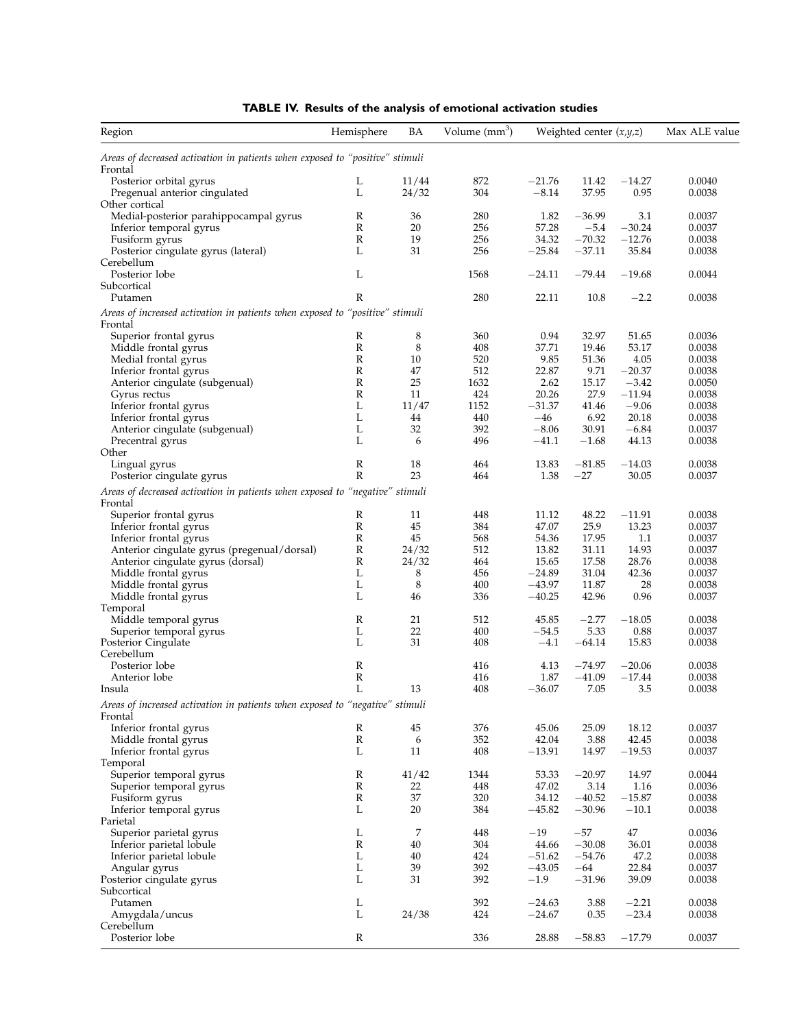| Region                                                                                  | Hemisphere                  | BA             | Volume (mm <sup>3</sup> ) | Weighted center $(x,y,z)$ |                  | Max ALE value    |                  |
|-----------------------------------------------------------------------------------------|-----------------------------|----------------|---------------------------|---------------------------|------------------|------------------|------------------|
| Areas of decreased activation in patients when exposed to "positive" stimuli            |                             |                |                           |                           |                  |                  |                  |
| Frontal                                                                                 |                             |                | 872                       | $-21.76$                  |                  |                  | 0.0040           |
| Posterior orbital gyrus<br>Pregenual anterior cingulated                                | L<br>L                      | 11/44<br>24/32 | 304                       | $-8.14$                   | 11.42<br>37.95   | $-14.27$<br>0.95 | 0.0038           |
| Other cortical                                                                          |                             |                |                           |                           |                  |                  |                  |
| Medial-posterior parahippocampal gyrus                                                  | R                           | 36             | 280                       | 1.82                      | $-36.99$         | 3.1              | 0.0037           |
| Inferior temporal gyrus                                                                 | $\mathbb{R}$                | 20             | 256                       | 57.28                     | $-5.4$           | $-30.24$         | 0.0037           |
| Fusiform gyrus                                                                          | $\mathbb R$                 | 19             | 256                       | 34.32                     | $-70.32$         | $-12.76$         | 0.0038           |
| Posterior cingulate gyrus (lateral)                                                     | L                           | 31             | 256                       | $-25.84$                  | $-37.11$         | 35.84            | 0.0038           |
| Cerebellum                                                                              |                             |                |                           |                           |                  |                  |                  |
| Posterior lobe                                                                          | L                           |                | 1568                      | $-24.11$                  | $-79.44$         | $-19.68$         | 0.0044           |
| Subcortical<br>Putamen                                                                  | R                           |                | 280                       | 22.11                     | 10.8             | $-2.2$           | 0.0038           |
|                                                                                         |                             |                |                           |                           |                  |                  |                  |
| Areas of increased activation in patients when exposed to "positive" stimuli            |                             |                |                           |                           |                  |                  |                  |
| Frontal<br>Superior frontal gyrus                                                       | R                           | 8              | 360                       | 0.94                      | 32.97            | 51.65            | 0.0036           |
| Middle frontal gyrus                                                                    | ${\mathbb R}$               | 8              | 408                       | 37.71                     | 19.46            | 53.17            | 0.0038           |
| Medial frontal gyrus                                                                    | ${\mathbb R}$               | 10             | 520                       | 9.85                      | 51.36            | 4.05             | 0.0038           |
| Inferior frontal gyrus                                                                  | $\mathbb R$                 | 47             | 512                       | 22.87                     | 9.71             | $-20.37$         | 0.0038           |
| Anterior cingulate (subgenual)                                                          | ${\mathbb R}$               | 25             | 1632                      | 2.62                      | 15.17            | $-3.42$          | 0.0050           |
| Gyrus rectus                                                                            | R                           | 11             | 424                       | 20.26                     | 27.9             | $-11.94$         | 0.0038           |
| Inferior frontal gyrus                                                                  | L                           | 11/47          | 1152                      | $-31.37$                  | 41.46            | $-9.06$          | 0.0038           |
| Inferior frontal gyrus                                                                  | L                           | 44             | 440                       | $-46$                     | 6.92             | 20.18            | 0.0038           |
| Anterior cingulate (subgenual)                                                          | L                           | 32             | 392                       | $-8.06$                   | 30.91            | $-6.84$          | 0.0037           |
| Precentral gyrus                                                                        | L                           | 6              | 496                       | $-41.1$                   | $-1.68$          | 44.13            | 0.0038           |
| Other<br>Lingual gyrus                                                                  | $\mathbb{R}$                | 18             | 464                       | 13.83                     | $-81.85$         | $-14.03$         | 0.0038           |
| Posterior cingulate gyrus                                                               | R                           | 23             | 464                       | 1.38                      | $-27$            | 30.05            | 0.0037           |
|                                                                                         |                             |                |                           |                           |                  |                  |                  |
| Areas of decreased activation in patients when exposed to "negative" stimuli<br>Frontal |                             |                |                           |                           |                  |                  |                  |
| Superior frontal gyrus                                                                  | $\mathbb{R}$                | 11             | 448                       | 11.12                     | 48.22            | $-11.91$         | 0.0038           |
| Inferior frontal gyrus                                                                  | $\mathbb{R}$                | 45             | 384                       | 47.07                     | 25.9             | 13.23            | 0.0037           |
| Inferior frontal gyrus                                                                  | $\mathbb R$                 | 45             | 568                       | 54.36                     | 17.95            | 1.1              | 0.0037           |
| Anterior cingulate gyrus (pregenual/dorsal)                                             | $\mathbb R$                 | 24/32          | 512                       | 13.82                     | 31.11            | 14.93            | 0.0037           |
| Anterior cingulate gyrus (dorsal)                                                       | $\mathbb R$                 | 24/32          | 464                       | 15.65                     | 17.58            | 28.76            | 0.0038           |
| Middle frontal gyrus                                                                    | L                           | 8              | 456                       | $-24.89$                  | 31.04            | 42.36            | 0.0037           |
| Middle frontal gyrus                                                                    | L                           | 8              | 400                       | $-43.97$                  | 11.87            | 28               | 0.0038           |
| Middle frontal gyrus                                                                    | L                           | 46             | 336                       | $-40.25$                  | 42.96            | 0.96             | 0.0037           |
| Temporal                                                                                | R                           | 21             | 512                       | 45.85                     |                  |                  | 0.0038           |
| Middle temporal gyrus<br>Superior temporal gyrus                                        | L                           | 22             | 400                       | $-54.5$                   | $-2.77$<br>5.33  | $-18.05$<br>0.88 | 0.0037           |
| Posterior Cingulate                                                                     | L                           | 31             | 408                       | $-4.1$                    | $-64.14$         | 15.83            | 0.0038           |
| Cerebellum                                                                              |                             |                |                           |                           |                  |                  |                  |
| Posterior lobe                                                                          | ${\mathbb R}$               |                | 416                       | 4.13                      | $-74.97$         | $-20.06$         | 0.0038           |
| Anterior lobe                                                                           | R                           |                | 416                       | 1.87                      | $-41.09$         | $-17.44$         | 0.0038           |
| Insula                                                                                  | L                           | 13             | 408                       | $-36.07$                  | 7.05             | 3.5              | 0.0038           |
| Areas of increased activation in patients when exposed to "negative" stimuli<br>Frontal |                             |                |                           |                           |                  |                  |                  |
| Inferior frontal gyrus                                                                  | R                           | 45             | 376                       | 45.06                     | 25.09            | 18.12            | 0.0037           |
| Middle frontal gyrus                                                                    | $\mathbb{R}$                | 6              | 352                       | 42.04                     | 3.88             | 42.45            | 0.0038           |
| Inferior frontal gyrus                                                                  | L                           | 11             | 408                       | $-13.91$                  | 14.97            | $-19.53$         | 0.0037           |
| Temporal                                                                                |                             |                |                           |                           |                  |                  |                  |
| Superior temporal gyrus                                                                 | ${\bf R}$                   | 41/42          | 1344                      | 53.33                     | $-20.97$         | 14.97            | 0.0044           |
| Superior temporal gyrus                                                                 | $\mathbb R$<br>$\mathbb{R}$ | 22<br>37       | 448<br>320                | 47.02<br>34.12            | 3.14<br>$-40.52$ | 1.16<br>$-15.87$ | 0.0036<br>0.0038 |
| Fusiform gyrus<br>Inferior temporal gyrus                                               | L                           | 20             | 384                       | $-45.82$                  | $-30.96$         | $-10.1$          | 0.0038           |
| Parietal                                                                                |                             |                |                           |                           |                  |                  |                  |
| Superior parietal gyrus                                                                 | L                           | $\overline{7}$ | 448                       | $-19$                     | $-57$            | 47               | 0.0036           |
| Inferior parietal lobule                                                                | ${\mathbb R}$               | 40             | 304                       | 44.66                     | $-30.08$         | 36.01            | 0.0038           |
| Inferior parietal lobule                                                                | L                           | 40             | 424                       | $-51.62$                  | $-54.76$         | 47.2             | 0.0038           |
| Angular gyrus                                                                           | L                           | 39             | 392                       | $-43.05$                  | $-64$            | 22.84            | 0.0037           |
| Posterior cingulate gyrus                                                               | L                           | 31             | 392                       | $-1.9$                    | $-31.96$         | 39.09            | 0.0038           |
| Subcortical                                                                             |                             |                |                           |                           |                  |                  |                  |
| Putamen                                                                                 | L                           |                | 392                       | $-24.63$                  | 3.88             | $-2.21$          | 0.0038           |
| Amygdala/uncus                                                                          | L                           | 24/38          | 424                       | $-24.67$                  | 0.35             | $-23.4$          | 0.0038           |
| Cerebellum<br>Posterior lobe                                                            | ${\mathbb R}$               |                |                           |                           |                  |                  |                  |
|                                                                                         |                             |                | 336                       | 28.88                     | $-58.83$         | $-17.79$         | 0.0037           |

| <b>TABLE IV.</b> Results of the analysis of emotional activation studies |  |  |  |
|--------------------------------------------------------------------------|--|--|--|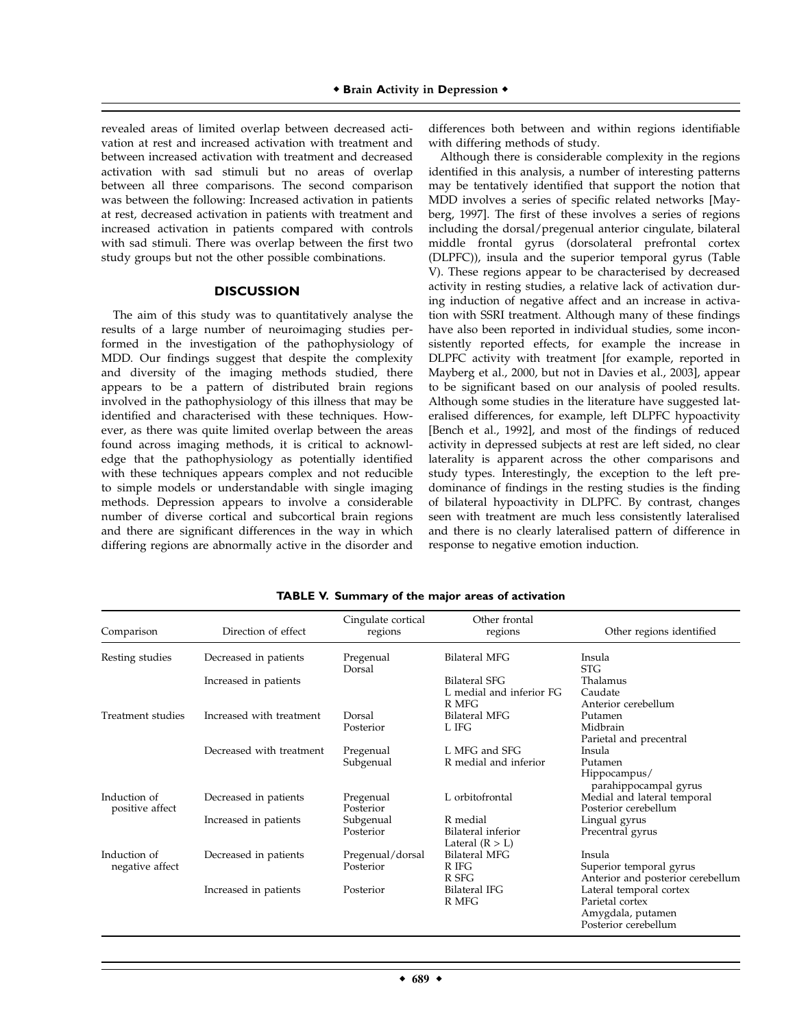revealed areas of limited overlap between decreased activation at rest and increased activation with treatment and between increased activation with treatment and decreased activation with sad stimuli but no areas of overlap between all three comparisons. The second comparison was between the following: Increased activation in patients at rest, decreased activation in patients with treatment and increased activation in patients compared with controls with sad stimuli. There was overlap between the first two study groups but not the other possible combinations.

### **DISCUSSION**

The aim of this study was to quantitatively analyse the results of a large number of neuroimaging studies performed in the investigation of the pathophysiology of MDD. Our findings suggest that despite the complexity and diversity of the imaging methods studied, there appears to be a pattern of distributed brain regions involved in the pathophysiology of this illness that may be identified and characterised with these techniques. However, as there was quite limited overlap between the areas found across imaging methods, it is critical to acknowledge that the pathophysiology as potentially identified with these techniques appears complex and not reducible to simple models or understandable with single imaging methods. Depression appears to involve a considerable number of diverse cortical and subcortical brain regions and there are significant differences in the way in which differing regions are abnormally active in the disorder and

differences both between and within regions identifiable with differing methods of study.

Although there is considerable complexity in the regions identified in this analysis, a number of interesting patterns may be tentatively identified that support the notion that MDD involves a series of specific related networks [Mayberg, 1997]. The first of these involves a series of regions including the dorsal/pregenual anterior cingulate, bilateral middle frontal gyrus (dorsolateral prefrontal cortex (DLPFC)), insula and the superior temporal gyrus (Table V). These regions appear to be characterised by decreased activity in resting studies, a relative lack of activation during induction of negative affect and an increase in activation with SSRI treatment. Although many of these findings have also been reported in individual studies, some inconsistently reported effects, for example the increase in DLPFC activity with treatment [for example, reported in Mayberg et al., 2000, but not in Davies et al., 2003], appear to be significant based on our analysis of pooled results. Although some studies in the literature have suggested lateralised differences, for example, left DLPFC hypoactivity [Bench et al., 1992], and most of the findings of reduced activity in depressed subjects at rest are left sided, no clear laterality is apparent across the other comparisons and study types. Interestingly, the exception to the left predominance of findings in the resting studies is the finding of bilateral hypoactivity in DLPFC. By contrast, changes seen with treatment are much less consistently lateralised and there is no clearly lateralised pattern of difference in response to negative emotion induction.

| Comparison                      | Direction of effect      | Cingulate cortical<br>regions | Other frontal<br>regions                            | Other regions identified                                                                |
|---------------------------------|--------------------------|-------------------------------|-----------------------------------------------------|-----------------------------------------------------------------------------------------|
| Resting studies                 | Decreased in patients    | Pregenual<br>Dorsal           | <b>Bilateral MFG</b>                                | Insula<br><b>STG</b>                                                                    |
|                                 | Increased in patients    |                               | Bilateral SFG<br>L medial and inferior FG<br>R MFG  | Thalamus<br>Caudate<br>Anterior cerebellum                                              |
| Treatment studies               | Increased with treatment | Dorsal<br>Posterior           | <b>Bilateral MFG</b><br>L IFG                       | Putamen<br>Midbrain<br>Parietal and precentral                                          |
|                                 | Decreased with treatment | Pregenual<br>Subgenual        | L MFG and SFG<br>R medial and inferior              | Insula<br>Putamen<br>Hippocampus/<br>parahippocampal gyrus                              |
| Induction of<br>positive affect | Decreased in patients    | Pregenual<br>Posterior        | L orbitofrontal                                     | Medial and lateral temporal<br>Posterior cerebellum                                     |
|                                 | Increased in patients    | Subgenual<br>Posterior        | R medial<br>Bilateral inferior<br>Lateral $(R > L)$ | Lingual gyrus<br>Precentral gyrus                                                       |
| Induction of<br>negative affect | Decreased in patients    | Pregenual/dorsal<br>Posterior | Bilateral MFG<br>R IFG<br>R SFG                     | Insula<br>Superior temporal gyrus<br>Anterior and posterior cerebellum                  |
|                                 | Increased in patients    | Posterior                     | <b>Bilateral IFG</b><br>R MFG                       | Lateral temporal cortex<br>Parietal cortex<br>Amygdala, putamen<br>Posterior cerebellum |

**TABLE V. Summary of the major areas of activation**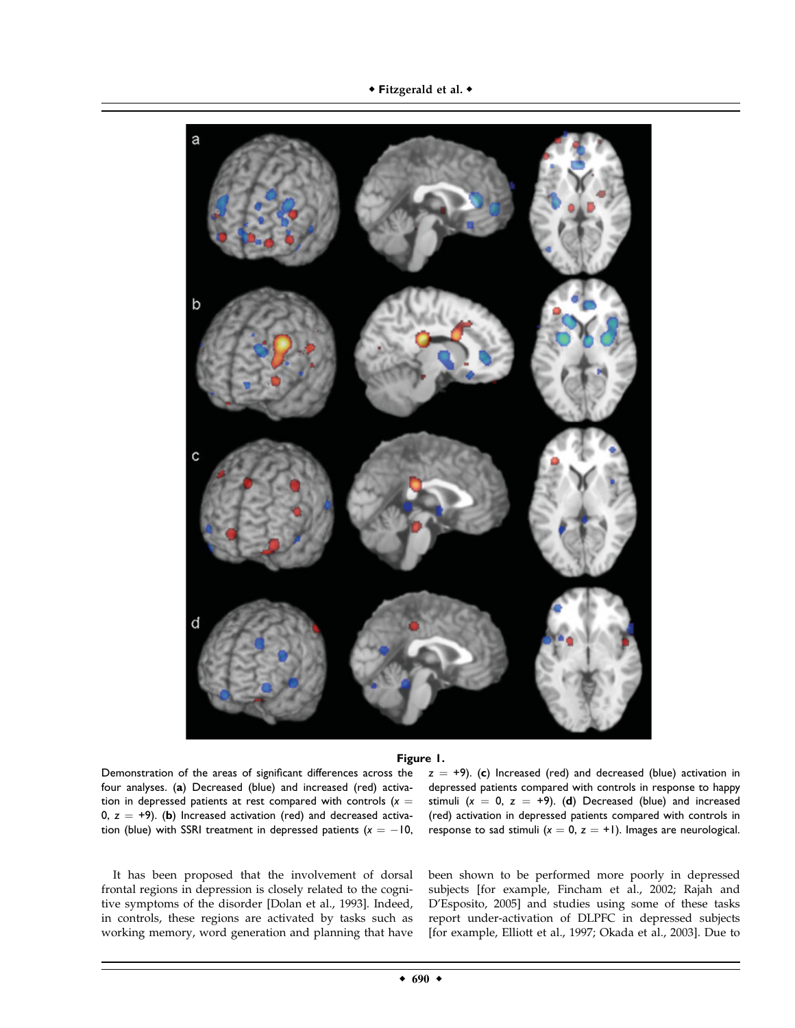

#### **Figure 1.**

Demonstration of the areas of significant differences across the four analyses. (**a**) Decreased (blue) and increased (red) activation in depressed patients at rest compared with controls  $(x =$ 0,  $z = +9$ ). (b) Increased activation (red) and decreased activation (blue) with SSRI treatment in depressed patients  $(x = -10,$ 

It has been proposed that the involvement of dorsal frontal regions in depression is closely related to the cognitive symptoms of the disorder [Dolan et al., 1993]. Indeed, in controls, these regions are activated by tasks such as working memory, word generation and planning that have

 $z = +9$ ). (c) Increased (red) and decreased (blue) activation in depressed patients compared with controls in response to happy stimuli  $(x = 0, z = +9)$ . (d) Decreased (blue) and increased (red) activation in depressed patients compared with controls in response to sad stimuli  $(x = 0, z = +1)$ . Images are neurological.

been shown to be performed more poorly in depressed subjects [for example, Fincham et al., 2002; Rajah and D'Esposito, 2005] and studies using some of these tasks report under-activation of DLPFC in depressed subjects [for example, Elliott et al., 1997; Okada et al., 2003]. Due to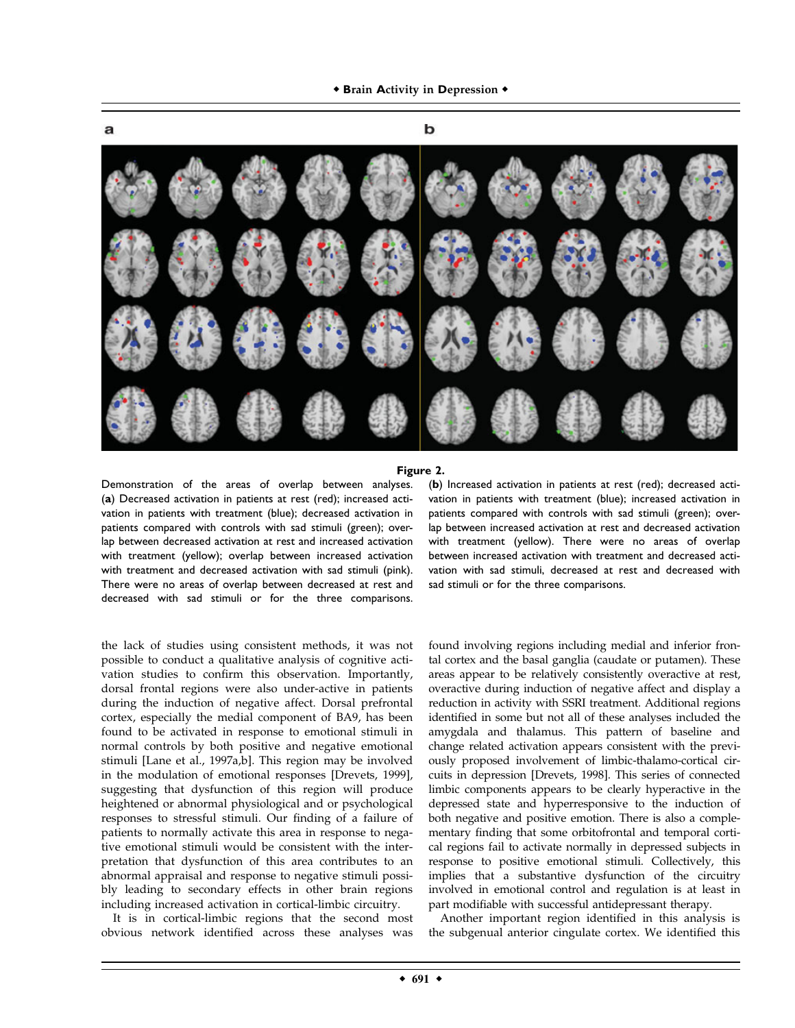**\* Brain Activity in Depression \*** 



#### **Figure 2.**

Demonstration of the areas of overlap between analyses. (**a**) Decreased activation in patients at rest (red); increased activation in patients with treatment (blue); decreased activation in patients compared with controls with sad stimuli (green); overlap between decreased activation at rest and increased activation with treatment (yellow); overlap between increased activation with treatment and decreased activation with sad stimuli (pink). There were no areas of overlap between decreased at rest and decreased with sad stimuli or for the three comparisons.

the lack of studies using consistent methods, it was not possible to conduct a qualitative analysis of cognitive activation studies to confirm this observation. Importantly, dorsal frontal regions were also under-active in patients during the induction of negative affect. Dorsal prefrontal cortex, especially the medial component of BA9, has been found to be activated in response to emotional stimuli in normal controls by both positive and negative emotional stimuli [Lane et al., 1997a,b]. This region may be involved in the modulation of emotional responses [Drevets, 1999], suggesting that dysfunction of this region will produce heightened or abnormal physiological and or psychological responses to stressful stimuli. Our finding of a failure of patients to normally activate this area in response to negative emotional stimuli would be consistent with the interpretation that dysfunction of this area contributes to an abnormal appraisal and response to negative stimuli possibly leading to secondary effects in other brain regions including increased activation in cortical-limbic circuitry.

It is in cortical-limbic regions that the second most obvious network identified across these analyses was

(**b**) Increased activation in patients at rest (red); decreased activation in patients with treatment (blue); increased activation in patients compared with controls with sad stimuli (green); overlap between increased activation at rest and decreased activation with treatment (yellow). There were no areas of overlap between increased activation with treatment and decreased activation with sad stimuli, decreased at rest and decreased with sad stimuli or for the three comparisons.

found involving regions including medial and inferior frontal cortex and the basal ganglia (caudate or putamen). These areas appear to be relatively consistently overactive at rest, overactive during induction of negative affect and display a reduction in activity with SSRI treatment. Additional regions identified in some but not all of these analyses included the amygdala and thalamus. This pattern of baseline and change related activation appears consistent with the previously proposed involvement of limbic-thalamo-cortical circuits in depression [Drevets, 1998]. This series of connected limbic components appears to be clearly hyperactive in the depressed state and hyperresponsive to the induction of both negative and positive emotion. There is also a complementary finding that some orbitofrontal and temporal cortical regions fail to activate normally in depressed subjects in response to positive emotional stimuli. Collectively, this implies that a substantive dysfunction of the circuitry involved in emotional control and regulation is at least in part modifiable with successful antidepressant therapy.

Another important region identified in this analysis is the subgenual anterior cingulate cortex. We identified this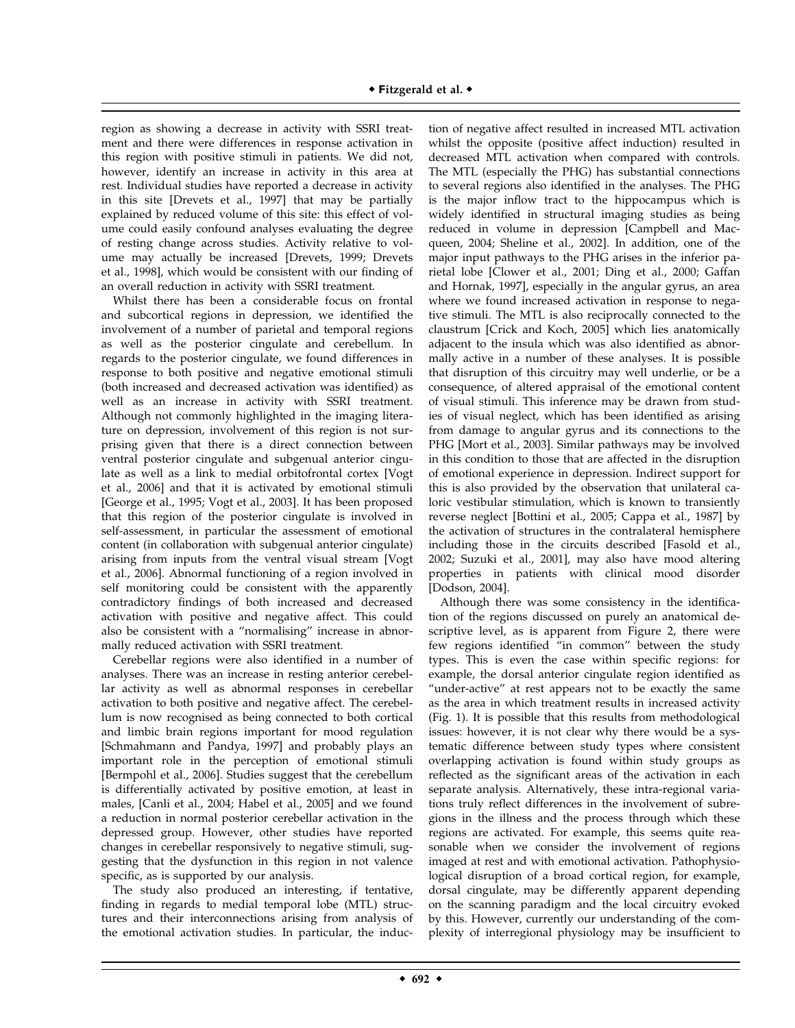region as showing a decrease in activity with SSRI treatment and there were differences in response activation in this region with positive stimuli in patients. We did not, however, identify an increase in activity in this area at rest. Individual studies have reported a decrease in activity in this site [Drevets et al., 1997] that may be partially explained by reduced volume of this site: this effect of volume could easily confound analyses evaluating the degree of resting change across studies. Activity relative to volume may actually be increased [Drevets, 1999; Drevets et al., 1998], which would be consistent with our finding of an overall reduction in activity with SSRI treatment.

Whilst there has been a considerable focus on frontal and subcortical regions in depression, we identified the involvement of a number of parietal and temporal regions as well as the posterior cingulate and cerebellum. In regards to the posterior cingulate, we found differences in response to both positive and negative emotional stimuli (both increased and decreased activation was identified) as well as an increase in activity with SSRI treatment. Although not commonly highlighted in the imaging literature on depression, involvement of this region is not surprising given that there is a direct connection between ventral posterior cingulate and subgenual anterior cingulate as well as a link to medial orbitofrontal cortex [Vogt et al., 2006] and that it is activated by emotional stimuli [George et al., 1995; Vogt et al., 2003]. It has been proposed that this region of the posterior cingulate is involved in self-assessment, in particular the assessment of emotional content (in collaboration with subgenual anterior cingulate) arising from inputs from the ventral visual stream [Vogt et al., 2006]. Abnormal functioning of a region involved in self monitoring could be consistent with the apparently contradictory findings of both increased and decreased activation with positive and negative affect. This could also be consistent with a ''normalising'' increase in abnormally reduced activation with SSRI treatment.

Cerebellar regions were also identified in a number of analyses. There was an increase in resting anterior cerebellar activity as well as abnormal responses in cerebellar activation to both positive and negative affect. The cerebellum is now recognised as being connected to both cortical and limbic brain regions important for mood regulation [Schmahmann and Pandya, 1997] and probably plays an important role in the perception of emotional stimuli [Bermpohl et al., 2006]. Studies suggest that the cerebellum is differentially activated by positive emotion, at least in males, [Canli et al., 2004; Habel et al., 2005] and we found a reduction in normal posterior cerebellar activation in the depressed group. However, other studies have reported changes in cerebellar responsively to negative stimuli, suggesting that the dysfunction in this region in not valence specific, as is supported by our analysis.

The study also produced an interesting, if tentative, finding in regards to medial temporal lobe (MTL) structures and their interconnections arising from analysis of the emotional activation studies. In particular, the induc-

tion of negative affect resulted in increased MTL activation whilst the opposite (positive affect induction) resulted in decreased MTL activation when compared with controls. The MTL (especially the PHG) has substantial connections to several regions also identified in the analyses. The PHG is the major inflow tract to the hippocampus which is widely identified in structural imaging studies as being reduced in volume in depression [Campbell and Macqueen, 2004; Sheline et al., 2002]. In addition, one of the major input pathways to the PHG arises in the inferior parietal lobe [Clower et al., 2001; Ding et al., 2000; Gaffan and Hornak, 1997], especially in the angular gyrus, an area where we found increased activation in response to negative stimuli. The MTL is also reciprocally connected to the claustrum [Crick and Koch, 2005] which lies anatomically adjacent to the insula which was also identified as abnormally active in a number of these analyses. It is possible that disruption of this circuitry may well underlie, or be a consequence, of altered appraisal of the emotional content of visual stimuli. This inference may be drawn from studies of visual neglect, which has been identified as arising from damage to angular gyrus and its connections to the PHG [Mort et al., 2003]. Similar pathways may be involved in this condition to those that are affected in the disruption of emotional experience in depression. Indirect support for this is also provided by the observation that unilateral caloric vestibular stimulation, which is known to transiently reverse neglect [Bottini et al., 2005; Cappa et al., 1987] by the activation of structures in the contralateral hemisphere including those in the circuits described [Fasold et al., 2002; Suzuki et al., 2001], may also have mood altering properties in patients with clinical mood disorder [Dodson, 2004].

Although there was some consistency in the identification of the regions discussed on purely an anatomical descriptive level, as is apparent from Figure 2, there were few regions identified ''in common'' between the study types. This is even the case within specific regions: for example, the dorsal anterior cingulate region identified as ''under-active'' at rest appears not to be exactly the same as the area in which treatment results in increased activity (Fig. 1). It is possible that this results from methodological issues: however, it is not clear why there would be a systematic difference between study types where consistent overlapping activation is found within study groups as reflected as the significant areas of the activation in each separate analysis. Alternatively, these intra-regional variations truly reflect differences in the involvement of subregions in the illness and the process through which these regions are activated. For example, this seems quite reasonable when we consider the involvement of regions imaged at rest and with emotional activation. Pathophysiological disruption of a broad cortical region, for example, dorsal cingulate, may be differently apparent depending on the scanning paradigm and the local circuitry evoked by this. However, currently our understanding of the complexity of interregional physiology may be insufficient to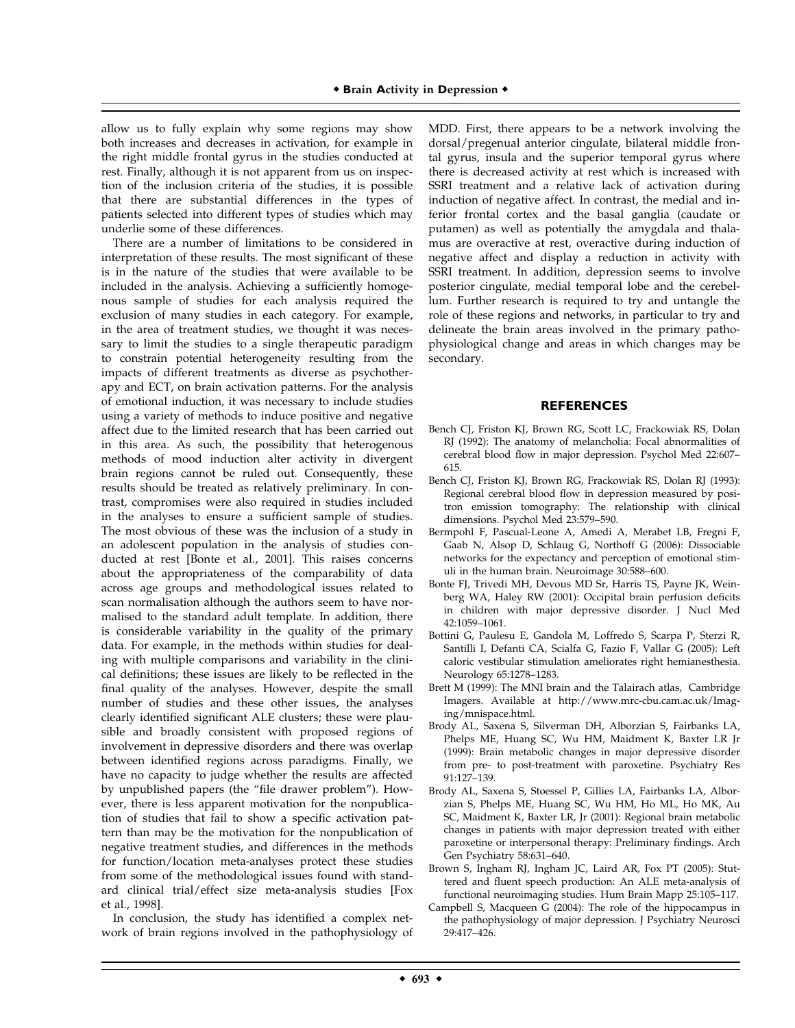allow us to fully explain why some regions may show both increases and decreases in activation, for example in the right middle frontal gyrus in the studies conducted at rest. Finally, although it is not apparent from us on inspection of the inclusion criteria of the studies, it is possible that there are substantial differences in the types of patients selected into different types of studies which may underlie some of these differences.

There are a number of limitations to be considered in interpretation of these results. The most significant of these is in the nature of the studies that were available to be included in the analysis. Achieving a sufficiently homogenous sample of studies for each analysis required the exclusion of many studies in each category. For example, in the area of treatment studies, we thought it was necessary to limit the studies to a single therapeutic paradigm to constrain potential heterogeneity resulting from the impacts of different treatments as diverse as psychotherapy and ECT, on brain activation patterns. For the analysis of emotional induction, it was necessary to include studies using a variety of methods to induce positive and negative affect due to the limited research that has been carried out in this area. As such, the possibility that heterogenous methods of mood induction alter activity in divergent brain regions cannot be ruled out. Consequently, these results should be treated as relatively preliminary. In contrast, compromises were also required in studies included in the analyses to ensure a sufficient sample of studies. The most obvious of these was the inclusion of a study in an adolescent population in the analysis of studies conducted at rest [Bonte et al., 2001]. This raises concerns about the appropriateness of the comparability of data across age groups and methodological issues related to scan normalisation although the authors seem to have normalised to the standard adult template. In addition, there is considerable variability in the quality of the primary data. For example, in the methods within studies for dealing with multiple comparisons and variability in the clinical definitions; these issues are likely to be reflected in the final quality of the analyses. However, despite the small number of studies and these other issues, the analyses clearly identified significant ALE clusters; these were plausible and broadly consistent with proposed regions of involvement in depressive disorders and there was overlap between identified regions across paradigms. Finally, we have no capacity to judge whether the results are affected by unpublished papers (the ''file drawer problem''). However, there is less apparent motivation for the nonpublication of studies that fail to show a specific activation pattern than may be the motivation for the nonpublication of negative treatment studies, and differences in the methods for function/location meta-analyses protect these studies from some of the methodological issues found with standard clinical trial/effect size meta-analysis studies [Fox et al., 1998].

In conclusion, the study has identified a complex network of brain regions involved in the pathophysiology of

MDD. First, there appears to be a network involving the dorsal/pregenual anterior cingulate, bilateral middle frontal gyrus, insula and the superior temporal gyrus where there is decreased activity at rest which is increased with SSRI treatment and a relative lack of activation during induction of negative affect. In contrast, the medial and inferior frontal cortex and the basal ganglia (caudate or putamen) as well as potentially the amygdala and thalamus are overactive at rest, overactive during induction of negative affect and display a reduction in activity with SSRI treatment. In addition, depression seems to involve posterior cingulate, medial temporal lobe and the cerebellum. Further research is required to try and untangle the role of these regions and networks, in particular to try and delineate the brain areas involved in the primary pathophysiological change and areas in which changes may be secondary.

#### **REFERENCES**

- Bench CJ, Friston KJ, Brown RG, Scott LC, Frackowiak RS, Dolan RJ (1992): The anatomy of melancholia: Focal abnormalities of cerebral blood flow in major depression. Psychol Med 22:607– 615.
- Bench CJ, Friston KJ, Brown RG, Frackowiak RS, Dolan RJ (1993): Regional cerebral blood flow in depression measured by positron emission tomography: The relationship with clinical dimensions. Psychol Med 23:579–590.
- Bermpohl F, Pascual-Leone A, Amedi A, Merabet LB, Fregni F, Gaab N, Alsop D, Schlaug G, Northoff G (2006): Dissociable networks for the expectancy and perception of emotional stimuli in the human brain. Neuroimage 30:588–600.
- Bonte FJ, Trivedi MH, Devous MD Sr, Harris TS, Payne JK, Weinberg WA, Haley RW (2001): Occipital brain perfusion deficits in children with major depressive disorder. J Nucl Med 42:1059–1061.
- Bottini G, Paulesu E, Gandola M, Loffredo S, Scarpa P, Sterzi R, Santilli I, Defanti CA, Scialfa G, Fazio F, Vallar G (2005): Left caloric vestibular stimulation ameliorates right hemianesthesia. Neurology 65:1278–1283.
- Brett M (1999): The MNI brain and the Talairach atlas, Cambridge Imagers. Available at http://www.mrc-cbu.cam.ac.uk/Imaging/mnispace.html.
- Brody AL, Saxena S, Silverman DH, Alborzian S, Fairbanks LA, Phelps ME, Huang SC, Wu HM, Maidment K, Baxter LR Jr (1999): Brain metabolic changes in major depressive disorder from pre- to post-treatment with paroxetine. Psychiatry Res 91:127–139.
- Brody AL, Saxena S, Stoessel P, Gillies LA, Fairbanks LA, Alborzian S, Phelps ME, Huang SC, Wu HM, Ho ML, Ho MK, Au SC, Maidment K, Baxter LR, Jr (2001): Regional brain metabolic changes in patients with major depression treated with either paroxetine or interpersonal therapy: Preliminary findings. Arch Gen Psychiatry 58:631–640.
- Brown S, Ingham RJ, Ingham JC, Laird AR, Fox PT (2005): Stuttered and fluent speech production: An ALE meta-analysis of functional neuroimaging studies. Hum Brain Mapp 25:105–117.
- Campbell S, Macqueen G (2004): The role of the hippocampus in the pathophysiology of major depression. J Psychiatry Neurosci 29:417–426.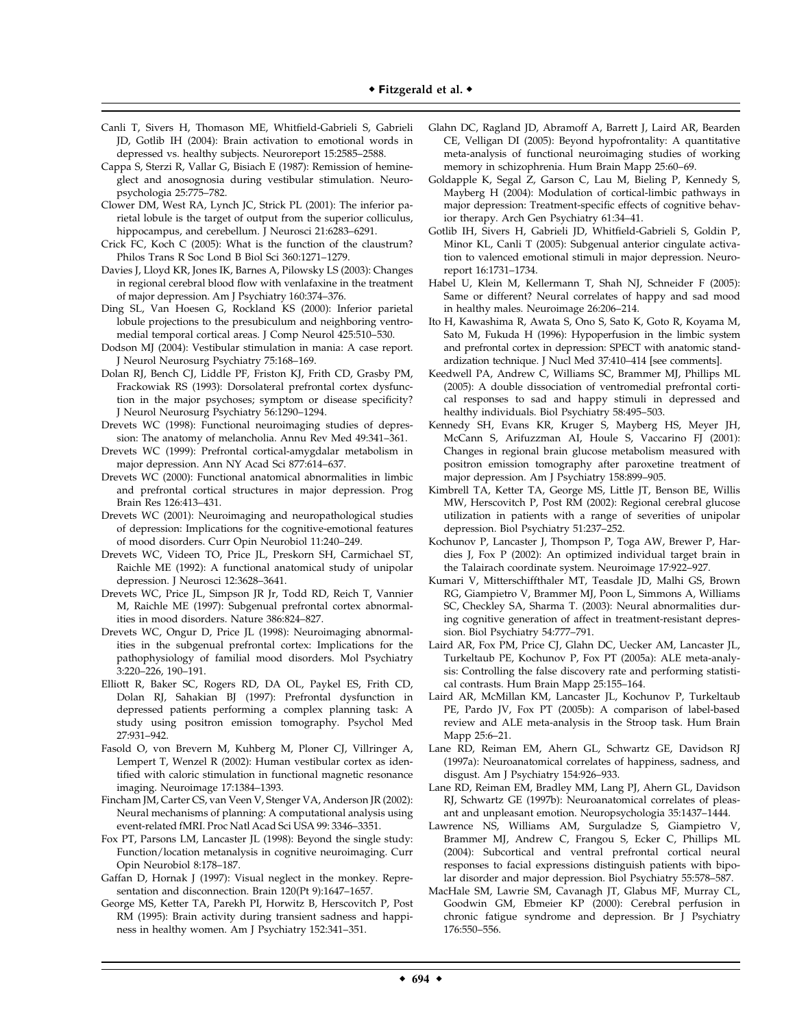- Canli T, Sivers H, Thomason ME, Whitfield-Gabrieli S, Gabrieli JD, Gotlib IH (2004): Brain activation to emotional words in depressed vs. healthy subjects. Neuroreport 15:2585–2588.
- Cappa S, Sterzi R, Vallar G, Bisiach E (1987): Remission of hemineglect and anosognosia during vestibular stimulation. Neuropsychologia 25:775–782.
- Clower DM, West RA, Lynch JC, Strick PL (2001): The inferior parietal lobule is the target of output from the superior colliculus, hippocampus, and cerebellum. J Neurosci 21:6283-6291.
- Crick FC, Koch C (2005): What is the function of the claustrum? Philos Trans R Soc Lond B Biol Sci 360:1271–1279.
- Davies J, Lloyd KR, Jones IK, Barnes A, Pilowsky LS (2003): Changes in regional cerebral blood flow with venlafaxine in the treatment of major depression. Am J Psychiatry 160:374–376.
- Ding SL, Van Hoesen G, Rockland KS (2000): Inferior parietal lobule projections to the presubiculum and neighboring ventromedial temporal cortical areas. J Comp Neurol 425:510–530.
- Dodson MJ (2004): Vestibular stimulation in mania: A case report. J Neurol Neurosurg Psychiatry 75:168–169.
- Dolan RJ, Bench CJ, Liddle PF, Friston KJ, Frith CD, Grasby PM, Frackowiak RS (1993): Dorsolateral prefrontal cortex dysfunction in the major psychoses; symptom or disease specificity? J Neurol Neurosurg Psychiatry 56:1290–1294.
- Drevets WC (1998): Functional neuroimaging studies of depression: The anatomy of melancholia. Annu Rev Med 49:341–361.
- Drevets WC (1999): Prefrontal cortical-amygdalar metabolism in major depression. Ann NY Acad Sci 877:614–637.
- Drevets WC (2000): Functional anatomical abnormalities in limbic and prefrontal cortical structures in major depression. Prog Brain Res 126:413–431.
- Drevets WC (2001): Neuroimaging and neuropathological studies of depression: Implications for the cognitive-emotional features of mood disorders. Curr Opin Neurobiol 11:240–249.
- Drevets WC, Videen TO, Price JL, Preskorn SH, Carmichael ST, Raichle ME (1992): A functional anatomical study of unipolar depression. J Neurosci 12:3628–3641.
- Drevets WC, Price JL, Simpson JR Jr, Todd RD, Reich T, Vannier M, Raichle ME (1997): Subgenual prefrontal cortex abnormalities in mood disorders. Nature 386:824–827.
- Drevets WC, Ongur D, Price JL (1998): Neuroimaging abnormalities in the subgenual prefrontal cortex: Implications for the pathophysiology of familial mood disorders. Mol Psychiatry 3:220–226, 190–191.
- Elliott R, Baker SC, Rogers RD, DA OL, Paykel ES, Frith CD, Dolan RJ, Sahakian BJ (1997): Prefrontal dysfunction in depressed patients performing a complex planning task: A study using positron emission tomography. Psychol Med 27:931–942.
- Fasold O, von Brevern M, Kuhberg M, Ploner CJ, Villringer A, Lempert T, Wenzel R (2002): Human vestibular cortex as identified with caloric stimulation in functional magnetic resonance imaging. Neuroimage 17:1384–1393.
- Fincham JM, Carter CS, van Veen V, Stenger VA, Anderson JR (2002): Neural mechanisms of planning: A computational analysis using event-related fMRI. Proc Natl Acad Sci USA 99: 3346–3351.
- Fox PT, Parsons LM, Lancaster JL (1998): Beyond the single study: Function/location metanalysis in cognitive neuroimaging. Curr Opin Neurobiol 8:178–187.
- Gaffan D, Hornak J (1997): Visual neglect in the monkey. Representation and disconnection. Brain 120(Pt 9):1647–1657.
- George MS, Ketter TA, Parekh PI, Horwitz B, Herscovitch P, Post RM (1995): Brain activity during transient sadness and happiness in healthy women. Am J Psychiatry 152:341–351.
- Glahn DC, Ragland JD, Abramoff A, Barrett J, Laird AR, Bearden CE, Velligan DI (2005): Beyond hypofrontality: A quantitative meta-analysis of functional neuroimaging studies of working memory in schizophrenia. Hum Brain Mapp 25:60–69.
- Goldapple K, Segal Z, Garson C, Lau M, Bieling P, Kennedy S, Mayberg H (2004): Modulation of cortical-limbic pathways in major depression: Treatment-specific effects of cognitive behavior therapy. Arch Gen Psychiatry 61:34–41.
- Gotlib IH, Sivers H, Gabrieli JD, Whitfield-Gabrieli S, Goldin P, Minor KL, Canli T (2005): Subgenual anterior cingulate activation to valenced emotional stimuli in major depression. Neuroreport 16:1731–1734.
- Habel U, Klein M, Kellermann T, Shah NJ, Schneider F (2005): Same or different? Neural correlates of happy and sad mood in healthy males. Neuroimage 26:206–214.
- Ito H, Kawashima R, Awata S, Ono S, Sato K, Goto R, Koyama M, Sato M, Fukuda H (1996): Hypoperfusion in the limbic system and prefrontal cortex in depression: SPECT with anatomic standardization technique. J Nucl Med 37:410–414 [see comments].
- Keedwell PA, Andrew C, Williams SC, Brammer MJ, Phillips ML (2005): A double dissociation of ventromedial prefrontal cortical responses to sad and happy stimuli in depressed and healthy individuals. Biol Psychiatry 58:495–503.
- Kennedy SH, Evans KR, Kruger S, Mayberg HS, Meyer JH, McCann S, Arifuzzman AI, Houle S, Vaccarino FJ (2001): Changes in regional brain glucose metabolism measured with positron emission tomography after paroxetine treatment of major depression. Am J Psychiatry 158:899–905.
- Kimbrell TA, Ketter TA, George MS, Little JT, Benson BE, Willis MW, Herscovitch P, Post RM (2002): Regional cerebral glucose utilization in patients with a range of severities of unipolar depression. Biol Psychiatry 51:237–252.
- Kochunov P, Lancaster J, Thompson P, Toga AW, Brewer P, Hardies J, Fox P (2002): An optimized individual target brain in the Talairach coordinate system. Neuroimage 17:922–927.
- Kumari V, Mitterschiffthaler MT, Teasdale JD, Malhi GS, Brown RG, Giampietro V, Brammer MJ, Poon L, Simmons A, Williams SC, Checkley SA, Sharma T. (2003): Neural abnormalities during cognitive generation of affect in treatment-resistant depression. Biol Psychiatry 54:777–791.
- Laird AR, Fox PM, Price CJ, Glahn DC, Uecker AM, Lancaster JL, Turkeltaub PE, Kochunov P, Fox PT (2005a): ALE meta-analysis: Controlling the false discovery rate and performing statistical contrasts. Hum Brain Mapp 25:155–164.
- Laird AR, McMillan KM, Lancaster JL, Kochunov P, Turkeltaub PE, Pardo JV, Fox PT (2005b): A comparison of label-based review and ALE meta-analysis in the Stroop task. Hum Brain Mapp 25:6–21.
- Lane RD, Reiman EM, Ahern GL, Schwartz GE, Davidson RJ (1997a): Neuroanatomical correlates of happiness, sadness, and disgust. Am J Psychiatry 154:926–933.
- Lane RD, Reiman EM, Bradley MM, Lang PJ, Ahern GL, Davidson RJ, Schwartz GE (1997b): Neuroanatomical correlates of pleasant and unpleasant emotion. Neuropsychologia 35:1437–1444.
- Lawrence NS, Williams AM, Surguladze S, Giampietro V, Brammer MJ, Andrew C, Frangou S, Ecker C, Phillips ML (2004): Subcortical and ventral prefrontal cortical neural responses to facial expressions distinguish patients with bipolar disorder and major depression. Biol Psychiatry 55:578–587.
- MacHale SM, Lawrie SM, Cavanagh JT, Glabus MF, Murray CL, Goodwin GM, Ebmeier KP (2000): Cerebral perfusion in chronic fatigue syndrome and depression. Br J Psychiatry 176:550–556.